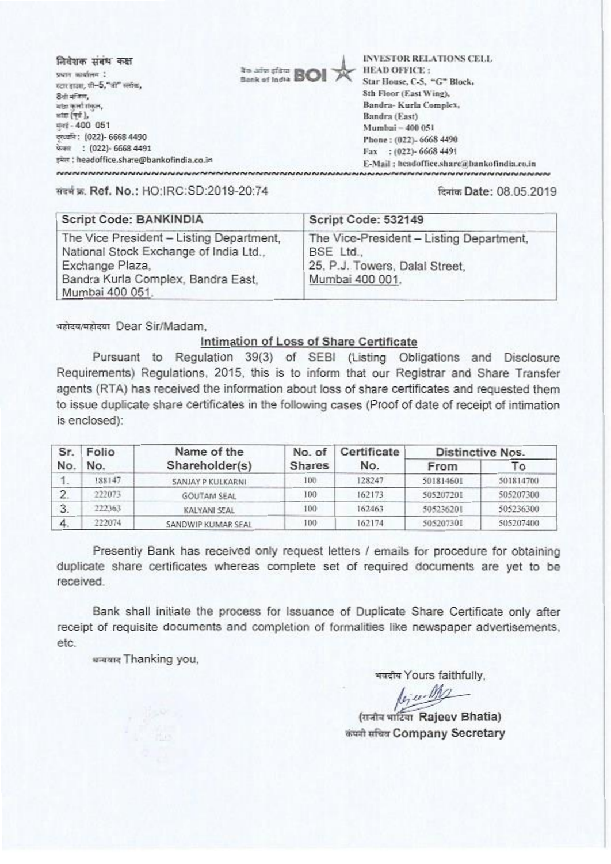| निवेशक संबंध कक्ष<br>प्रधान कार्यालय !    | <b>Ready of from BOI</b> | <b>INVESTOR RELATIONS CELL</b><br><b>HEAD OFFICE:</b> |
|-------------------------------------------|--------------------------|-------------------------------------------------------|
| रदार द्राउश, शी-5,"जी" स्लॉक,             |                          | Star House, C-5, "G" Block,                           |
| 8ैयो मंजिल,                               |                          | 8th Floor (East Wing),                                |
| मांडा कार्ना संकल,                        |                          | Bandra- Kurla Complex,                                |
| सांदा (पर्य.),                            |                          | Bandra (East)                                         |
| 中性-400 051                                |                          | Mumbai - 400 051                                      |
| दरव्यनि: (022)- 6668 4490                 |                          | Phone: (022)- 6668 4490                               |
| फेसल : (022)- 6668 4491                   |                          | Fax: (022)-6668 4491                                  |
| इमेल : headoffice.share@bankofindia.co.in |                          | E-Mail: headoffice.share@hankofindia.co.in            |
|                                           |                          |                                                       |

मंडर्स क. Ref. No.: HO:IRC:SD:2019-20:74

दिनांक Date: 08.05.2019

| Script Code: BANKINDIA                                                                                                                                         | Script Code: 532149                                                                                        |
|----------------------------------------------------------------------------------------------------------------------------------------------------------------|------------------------------------------------------------------------------------------------------------|
| The Vice President - Listing Department,<br>National Stock Exchange of India Ltd.,<br>Exchange Plaza,<br>Bandra Kurla Complex, Bandra East.<br>Mumbai 400 051. | The Vice-President - Listing Department,<br>BSE Ltd.,<br>25, P.J. Towers, Dalal Street,<br>Mumbai 400 001. |

usteu/usteur Dear Sir/Madam.

### Intimation of Loss of Share Certificate

Pursuant to Regulation 39(3) of SEBI (Listing Obligations and Disclosure Requirements) Regulations, 2015, this is to inform that our Registrar and Share Transfer agents (RTA) has received the information about loss of share certificates and requested them to issue duplicate share certificates in the following cases (Proof of date of receipt of intimation is enclosed):

| Sr.        | Folio  | Name of the         | No. of        | Certificate<br>No. | Distinctive Nos. |           |
|------------|--------|---------------------|---------------|--------------------|------------------|-----------|
| No.<br>No. |        | Shareholder(s)      | <b>Shares</b> |                    | From             | То        |
| 1.         | 188147 | SANJAY P KULKARNI   | 100           | 128247             | 501814601        | 501814700 |
| 2.         | 222073 | <b>GOUTAM SEAL</b>  | 100           | 162173             | 505207201        | 505207300 |
| 3.         | 222363 | <b>KALYANI SEAL</b> | 100           | 162463             | 505236201        | 505236300 |
| 4.         | 222074 | SANDWIP KUMAR SEAL  | 100           | 162174             | 505207301        | 505207400 |

Presently Bank has received only request letters / emails for procedure for obtaining duplicate share certificates whereas complete set of required documents are yet to be received

Bank shall initiate the process for Issuance of Duplicate Share Certificate only after receipt of requisite documents and completion of formalities like newspaper advertisements, etc.

urawa Thanking you,

भवदीय Yours faithfully,

lejur M

(सजीव भार्टिया Rajeev Bhatia) कंपनी सचिव Company Secretary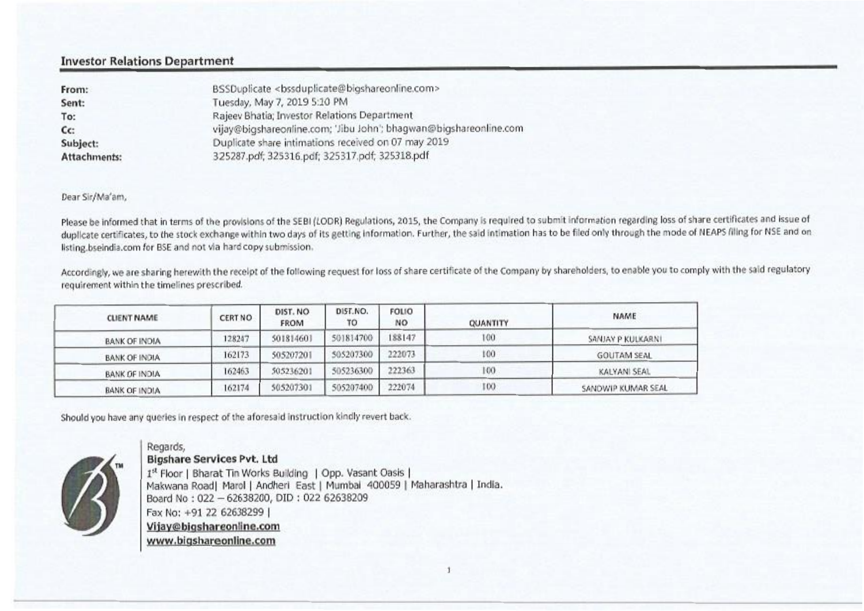## Investor Relations Department

| From:        | BSSDuplicate <bssduplicate@bigshareonline.com></bssduplicate@bigshareonline.com> |
|--------------|----------------------------------------------------------------------------------|
| Sent:        | Tuesday, May 7, 2019 5:10 PM                                                     |
| To:          | Rajeev Bhatia; Investor Relations Department                                     |
| $cc$ :       | vijay@bigshareonline.com; 'Jibu John'; bhagwan@bigshareonline.com                |
| Subject:     | Duplicate share intimations received on 07 may 2019                              |
| Attachments: | 325287.pdf; 325316.pdf; 325317.pdf; 325318.pdf                                   |

**Dear Sir/Ma'am,** 

Please be informed that in terms of the provisions of the SEBI (LODR) Regulations, 2015, the Company is required to submit information regarding loss of share certificates and issue of duplicate certificates, to the stock exchange within two days of its getting information. Further, the said intimation has to be filed only through the mode of NEAPS filing for NSE and on **Esting.bsekidia.com for BSE and not sfa hard copy submission.** 

Accordingly, we are sharing herewith the receipt of the following request for loss of share certificate of the Company by shareholders, to enable you to comply with the said regulatory  $requirement within the timelines prescribed.$ 

| <b>CLIENT NAME</b>   | CERT NO | DIST. NO<br><b>FROM</b> | DIST.NO.<br>TO | <b>FOLIO</b><br>NO | <b>QUANTITY</b> | NAME               |
|----------------------|---------|-------------------------|----------------|--------------------|-----------------|--------------------|
| BANK OF INDIA        | 128247  | 501814601               | 501814700      | 188147             | 100             | SANJAY P KULKARNI  |
| <b>BANK OF INDIA</b> | 162173  | 505207201               | 505207300      | 222073             | 100             | <b>GOUTAM SEAL</b> |
| BANK OF INDIA        | 162463  | 505236201               | 505236300      | 222363             | 100             | KALYANI SEAL       |
| BANK OF INDIA        | 162174  | 505207301               | 505207400      | 222074             | 100             | SANDWIP KUMAR SEAL |

Should you have any queries in respect of the aforesaid instruction kindly revert back.

Regards,



**Bigshare Services Pvt. Ltd**  Pt Floor I Bharat Tin **Works Bolding I** Opp. Vasant **Oasis**  Makwana Roadl Marol I Andherl East I **Mumbal 400059** I Maharashtra I India. Board No : 022 — 62638200, DID : 022 62638209 Fax No: +91 22 62638299 I Vijay@bigshareonline.com www.bigshareonline.com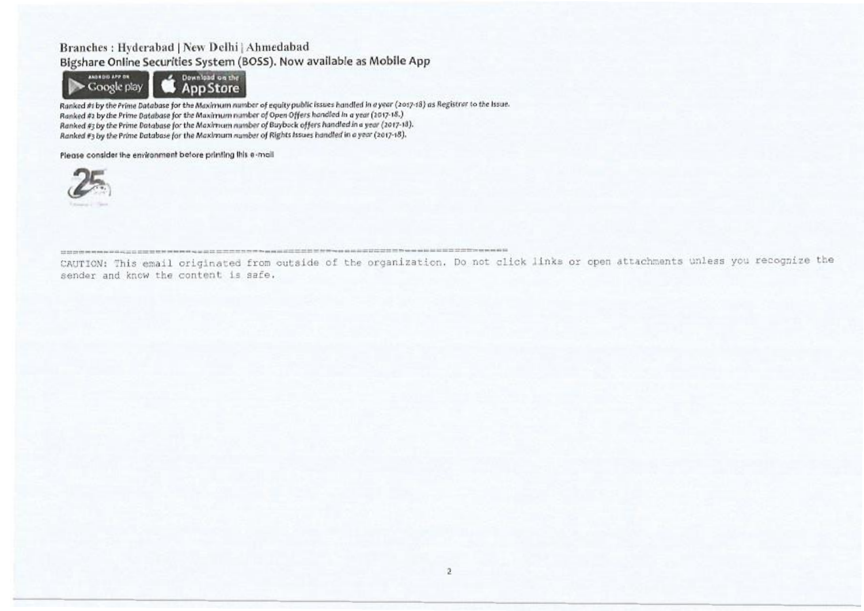## Branches: Hyderabad | New Delhi | Ahmedabad Bigshare Online Securities System (BOSS). Now available as Mobile App



Ranked #1 by the Prime Database for the Maximum number of equity public issues handled in a year (2017-18) as Registrar to the Issue. Ranked #2 by the Prime Database for the Maximum number of Open Offers handled in a year (2017-18.) Ranked #3 by the Prime Database for the Maximum number of Buyback offers handled in a year (2017-18). Ranked #3 by the Prime Database for the Maximum number of Rights Issues handled in a year (2017-18).

Please consider the environment before printing this e-mail



CAUTION: This email originated from outside of the organization. Do not click links or open attachments unless you recognize the sender and know the content is safe.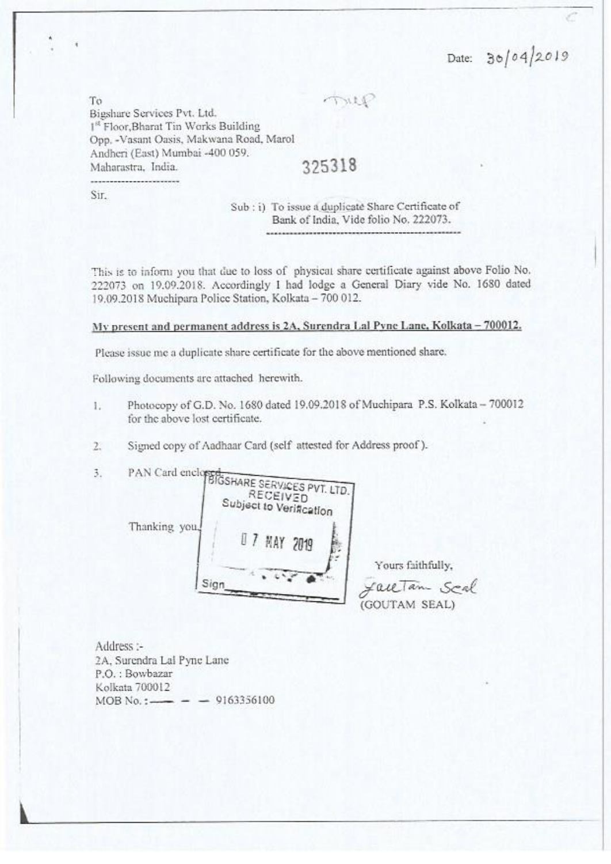Date: 30/04/Z019

mup

To Bigshare Services Pvt. Ltd. <sup>1st</sup> Floor, Bharat Tin Works Building Opp. -Vasant Oasis, Makwana Road, Marol Andhcri(East) Mumbai -400 059. Maharastra, India. 325318

Sir.

## Sub : i) To issue a duplicate Share Certificate of Bank of India, Vide folio No. 222073.

This is to inform you that due to loss of physical share certificate against above Folio No. 222073 on 19.09.2018. Accordingly I had lodge a General Diary vide No. 1680 dated 19.09.2018 Muchipara Police Station, Kolkata - 700 012.

N' present and permanent address is 2A. Surendra 1,a1Pvne Lane. Kolkata — 700012,

Please issue me a duplicate share certificate for the above mentioned share.

Following documents arc attached herewith.

- Photocopy of G.D. No. 1680 dated 19.09.2018 of Muchipara P.S. Kolkata 700012 L. for the above lost certificate.
- 2. Siymed copy of Aadhaar Card (self attested for Address proof ).

/ MAY 2019 Thanking Yo Sign 3. PAN Card enclo SHARE SERVICES PVT. LTD. RECEIVED<br>Ject to Verification REC

Yours faithfully,

JackTam Scal (GOUTAM SEAL)

Address :- 2A, Surcndra Lal Pync Lane P.O.: Bowbazar Kolkata 700012  $MOB No.$ :  $-$  9163356100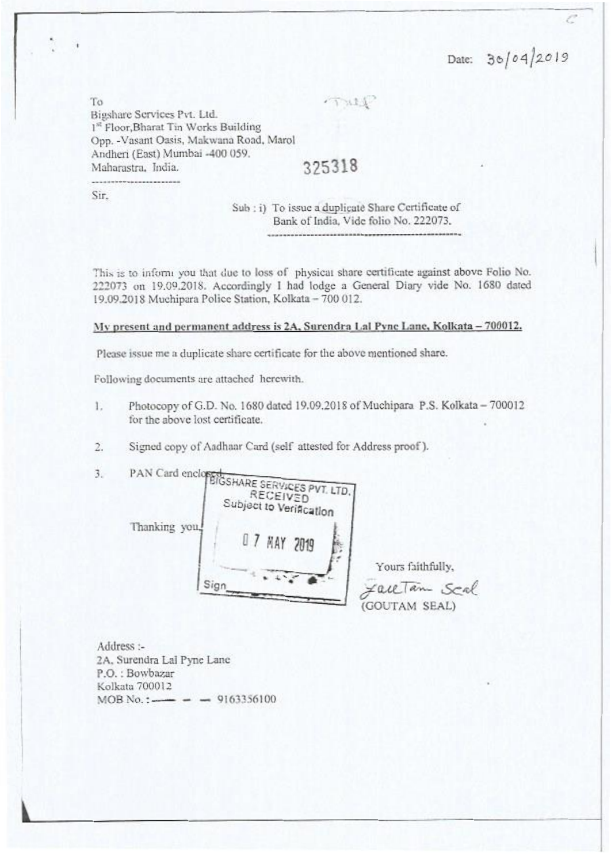Date:  $30/04/2019$ 

To Bigsharc Services Pvt. Ltd. 1<sup>st</sup> Floor, Bharat Tin Works Building Opp. -Vasant Oasis, Makwana Road, Marol Andheri(East) Mumbai -400 059. Maharastra. India. 325318

Sir.

Sub : i) To issue a duplicate Share Certificate of Bank of India, Vide folio No. 222073.

 $TML$ 

This is to inform you that due to loss of physical share certificate against above Folio No. 222073 on 19.09201S. Accordingly I had lodge a General Diary vide No. 1680 dated 19.09.2018 Muchipara Police Station. Kolkata - 700 012.

My present and permanent address is 2A, Surendra Lal Pvnc Lane, Kolkata - 700012.

Please issue me a duplicate share certificate for the above mentioned share.

Following documents are attached herewith.

- 1. Photocopy of G.D. No. 1680 dated 19.09.2018 of Muchipara P.S. Kolkata 700012 for the above lost certificate.
- 2. Signed copy of Aadhaar Card (self attested for Address proof ).

3. PAN Card ene

HARE SERV4CES**PVT LTD**. **Subject to Verification** Thanking you Sign 07 KAY 1019

Yours faithfully, FaceTan Scal (GOUTAM SEAL)

Address :- 2A. Surendra Lal Pyne Lane P.O.: Bowbazar Kolkatu 700012  $MOB No.$ :  $\longrightarrow$  9163356100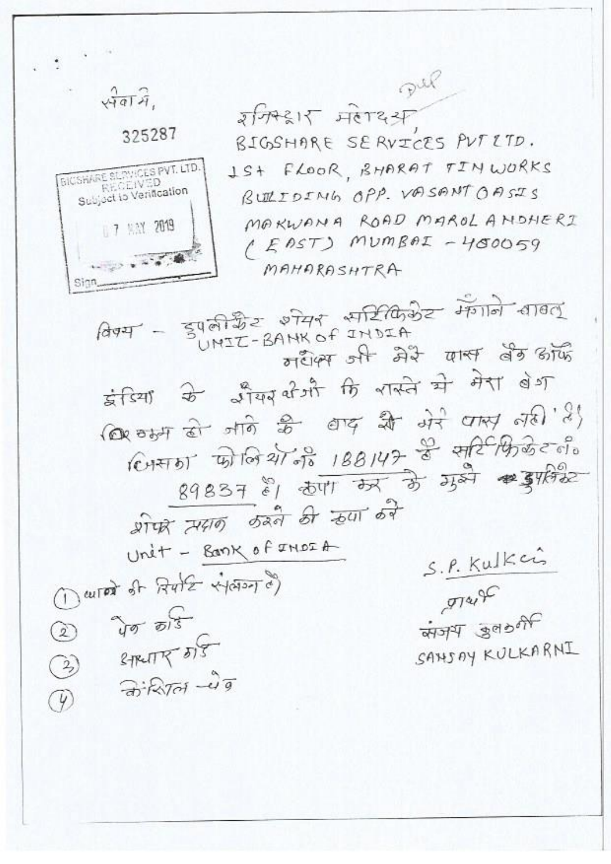$\sqrt{4aT}$ 

**BICSHARE SERVICES PVT. LTD.** RECEIVED

Subject to Verification

07 MAY 2019

**PARTIES** 

Sinn

# 325287

रम्भिद्वार मर्तादस BIGSHARE SERVICES PUT ETD. 1ST FLOOR, BHARAT TINWORKS BUILDING OPP. VASANT OASIS MAKWANA ROAD MAROL A NOHERI  $(ESAST)$  MUMBAI - 400059 MAHARASHTRA

Pel

मधैक्स और मेरे बार्स बैठ आँ इंडियाँ के अँग्यूबी भी कि रास्ते भी मेरा बेश कि वाम हो जाने के बाद मैं अरे पास ली'है (CHATO) कोलिया के 188147 के सरि फ्रिकेट लैं  $89837$   $81$   $807$   $75$   $35$   $35$   $43$   $430$ शोफर समान करने की रहणा करे Unit - Bank of INDIA S.P. Kulkci ( autor of Autre viction c)  $974,90$  $\gamma_{\sigma}$   $\sigma$  3 अजय उल की  $\circled{2}$  $8 - F4F4T F7 F375$ SANSAY KULKARNI ☺  $\partial \mathcal{R}$  $\mathcal{P}$